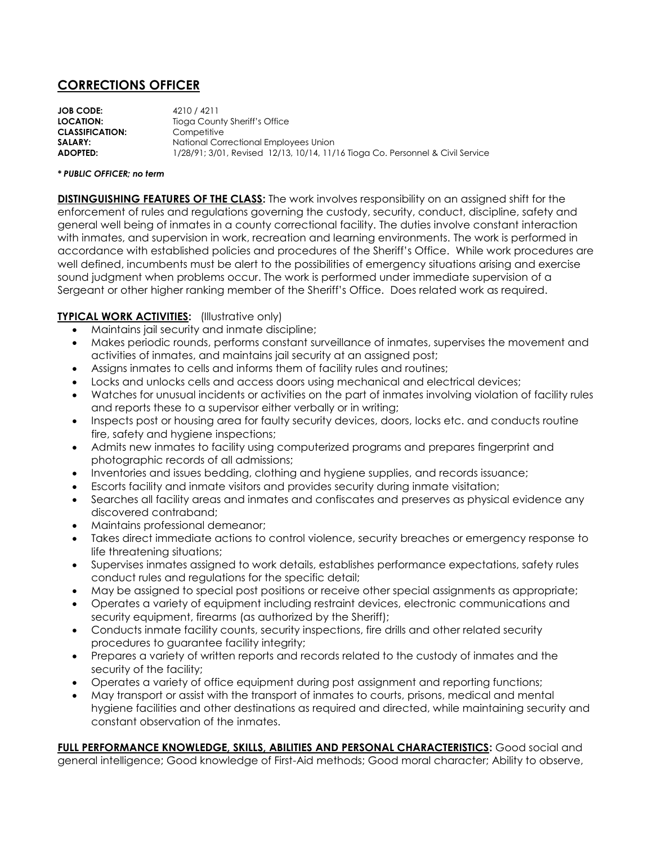## **CORRECTIONS OFFICER**

**JOB CODE:** 4210 / 4211 **LOCATION:** Tioga County Sheriff's Office **CLASSIFICATION:** Competitive **SALARY:** National Correctional Employees Union **ADOPTED:** 1/28/91; 3/01, Revised 12/13, 10/14, 11/16 Tioga Co. Personnel & Civil Service

## *\* PUBLIC OFFICER; no term*

**DISTINGUISHING FEATURES OF THE CLASS:** The work involves responsibility on an assigned shift for the enforcement of rules and regulations governing the custody, security, conduct, discipline, safety and general well being of inmates in a county correctional facility. The duties involve constant interaction with inmates, and supervision in work, recreation and learning environments. The work is performed in accordance with established policies and procedures of the Sheriff's Office. While work procedures are well defined, incumbents must be alert to the possibilities of emergency situations arising and exercise sound judgment when problems occur. The work is performed under immediate supervision of a Sergeant or other higher ranking member of the Sheriff's Office. Does related work as required.

## **TYPICAL WORK ACTIVITIES:** (Illustrative only)

- Maintains jail security and inmate discipline;
- Makes periodic rounds, performs constant surveillance of inmates, supervises the movement and activities of inmates, and maintains jail security at an assigned post;
- Assigns inmates to cells and informs them of facility rules and routines;
- Locks and unlocks cells and access doors using mechanical and electrical devices;
- Watches for unusual incidents or activities on the part of inmates involving violation of facility rules and reports these to a supervisor either verbally or in writing;
- Inspects post or housing area for faulty security devices, doors, locks etc. and conducts routine fire, safety and hygiene inspections;
- Admits new inmates to facility using computerized programs and prepares fingerprint and photographic records of all admissions;
- Inventories and issues bedding, clothing and hygiene supplies, and records issuance;
- Escorts facility and inmate visitors and provides security during inmate visitation;
- Searches all facility areas and inmates and confiscates and preserves as physical evidence any discovered contraband;
- Maintains professional demeanor;
- Takes direct immediate actions to control violence, security breaches or emergency response to life threatening situations;
- Supervises inmates assigned to work details, establishes performance expectations, safety rules conduct rules and regulations for the specific detail;
- May be assigned to special post positions or receive other special assignments as appropriate;
- Operates a variety of equipment including restraint devices, electronic communications and security equipment, firearms (as authorized by the Sheriff);
- Conducts inmate facility counts, security inspections, fire drills and other related security procedures to guarantee facility integrity;
- Prepares a variety of written reports and records related to the custody of inmates and the security of the facility;
- Operates a variety of office equipment during post assignment and reporting functions;
- May transport or assist with the transport of inmates to courts, prisons, medical and mental hygiene facilities and other destinations as required and directed, while maintaining security and constant observation of the inmates.

**FULL PERFORMANCE KNOWLEDGE, SKILLS, ABILITIES AND PERSONAL CHARACTERISTICS:** Good social and general intelligence; Good knowledge of First-Aid methods; Good moral character; Ability to observe,